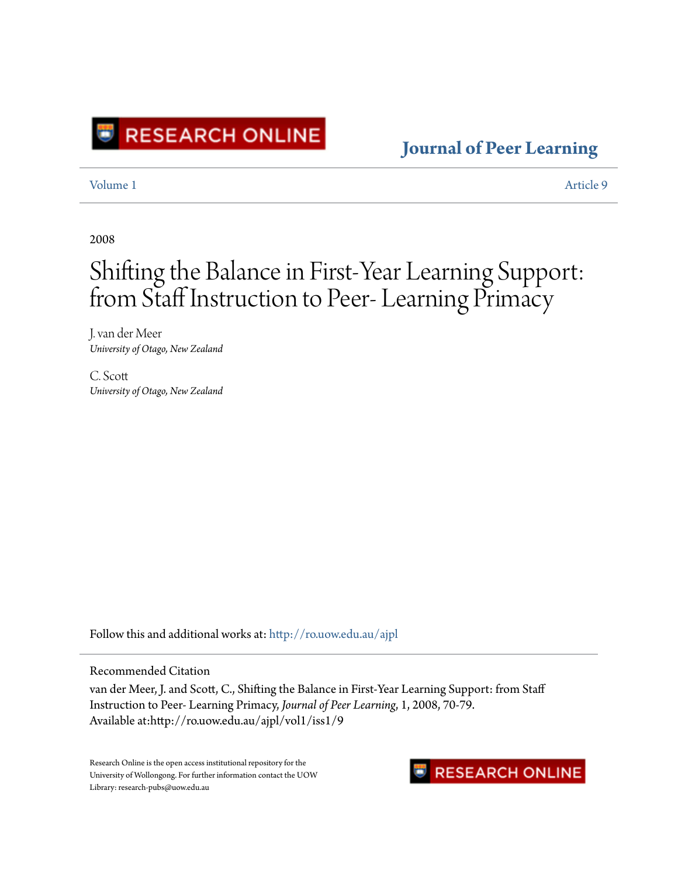

### **[Journal of Peer Learning](http://ro.uow.edu.au/ajpl?utm_source=ro.uow.edu.au%2Fajpl%2Fvol1%2Fiss1%2F9&utm_medium=PDF&utm_campaign=PDFCoverPages)**

[Volume 1](http://ro.uow.edu.au/ajpl/vol1?utm_source=ro.uow.edu.au%2Fajpl%2Fvol1%2Fiss1%2F9&utm_medium=PDF&utm_campaign=PDFCoverPages) [Article 9](http://ro.uow.edu.au/ajpl/vol1/iss1/9?utm_source=ro.uow.edu.au%2Fajpl%2Fvol1%2Fiss1%2F9&utm_medium=PDF&utm_campaign=PDFCoverPages)

2008

# Shifting the Balance in First-Year Learning Support: from Staff Instruction to Peer- Learning Primacy

J. van der Meer *University of Otago, New Zealand*

C. Scott *University of Otago, New Zealand*

Follow this and additional works at: [http://ro.uow.edu.au/ajpl](http://ro.uow.edu.au/ajpl?utm_source=ro.uow.edu.au%2Fajpl%2Fvol1%2Fiss1%2F9&utm_medium=PDF&utm_campaign=PDFCoverPages)

Recommended Citation

van der Meer, J. and Scott, C., Shifting the Balance in First-Year Learning Support: from Staff Instruction to Peer- Learning Primacy, *Journal of Peer Learning*, 1, 2008, 70-79. Available at:http://ro.uow.edu.au/ajpl/vol1/iss1/9

Research Online is the open access institutional repository for the University of Wollongong. For further information contact the UOW Library: research-pubs@uow.edu.au

## **RESEARCH ONLINE**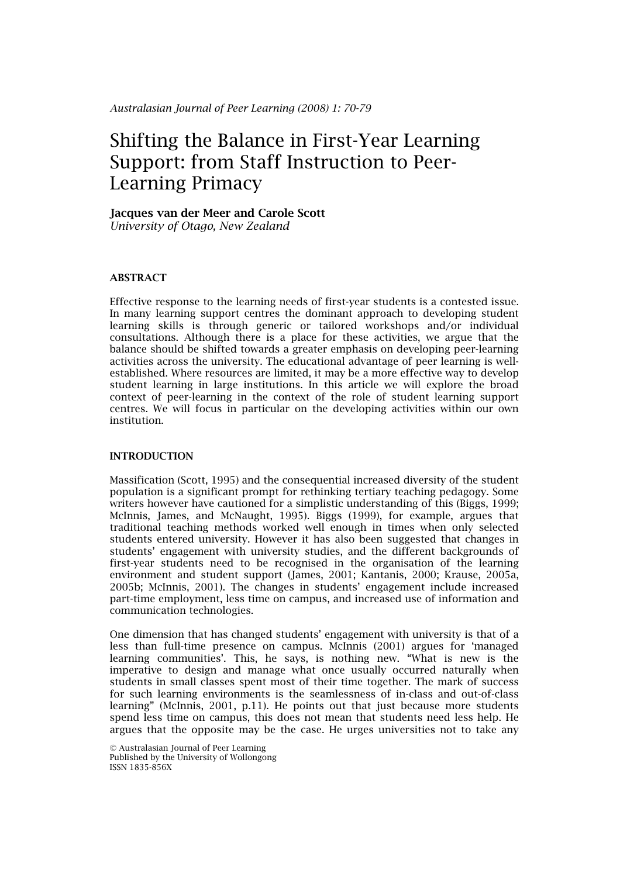### Jacques van der Meer and Carole Scott

*University of Otago, New Zealand*

### ABSTRACT

Effective response to the learning needs of first-year students is a contested issue. In many learning support centres the dominant approach to developing student learning skills is through generic or tailored workshops and/or individual consultations. Although there is a place for these activities, we argue that the balance should be shifted towards a greater emphasis on developing peer-learning activities across the university. The educational advantage of peer learning is wellestablished. Where resources are limited, it may be a more effective way to develop student learning in large institutions. In this article we will explore the broad context of peer-learning in the context of the role of student learning support centres. We will focus in particular on the developing activities within our own institution.

#### INTRODUCTION

Massification (Scott, 1995) and the consequential increased diversity of the student population is a significant prompt for rethinking tertiary teaching pedagogy. Some writers however have cautioned for a simplistic understanding of this (Biggs, 1999; McInnis, James, and McNaught, 1995). Biggs (1999), for example, argues that traditional teaching methods worked well enough in times when only selected students entered university. However it has also been suggested that changes in students' engagement with university studies, and the different backgrounds of first-year students need to be recognised in the organisation of the learning environment and student support (James, 2001; Kantanis, 2000; Krause, 2005a, 2005b; McInnis, 2001). The changes in students' engagement include increased part-time employment, less time on campus, and increased use of information and communication technologies.

One dimension that has changed students' engagement with university is that of a less than full-time presence on campus. McInnis (2001) argues for 'managed learning communities'. This, he says, is nothing new. "What is new is the imperative to design and manage what once usually occurred naturally when students in small classes spent most of their time together. The mark of success for such learning environments is the seamlessness of in-class and out-of-class learning" (McInnis, 2001, p.11). He points out that just because more students spend less time on campus, this does not mean that students need less help. He argues that the opposite may be the case. He urges universities not to take any

© Australasian Journal of Peer Learning Published by the University of Wollongong ISSN 1835-856X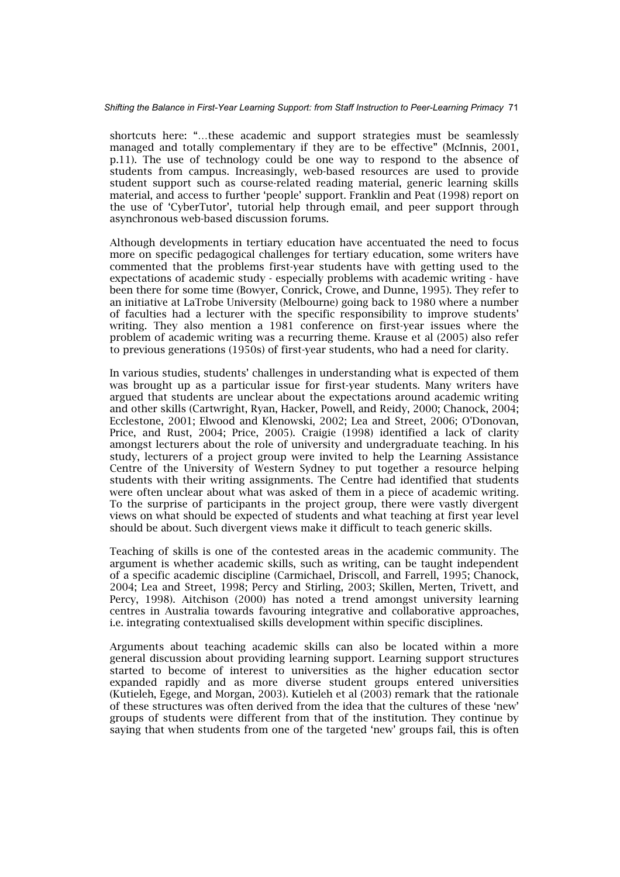shortcuts here: "…these academic and support strategies must be seamlessly managed and totally complementary if they are to be effective" (McInnis, 2001, p.11). The use of technology could be one way to respond to the absence of students from campus. Increasingly, web-based resources are used to provide student support such as course-related reading material, generic learning skills material, and access to further 'people' support. Franklin and Peat (1998) report on the use of 'CyberTutor', tutorial help through email, and peer support through asynchronous web-based discussion forums.

Although developments in tertiary education have accentuated the need to focus more on specific pedagogical challenges for tertiary education, some writers have commented that the problems first-year students have with getting used to the expectations of academic study - especially problems with academic writing - have been there for some time (Bowyer, Conrick, Crowe, and Dunne, 1995). They refer to an initiative at LaTrobe University (Melbourne) going back to 1980 where a number of faculties had a lecturer with the specific responsibility to improve students' writing. They also mention a 1981 conference on first-year issues where the problem of academic writing was a recurring theme. Krause et al (2005) also refer to previous generations (1950s) of first-year students, who had a need for clarity.

In various studies, students' challenges in understanding what is expected of them was brought up as a particular issue for first-year students. Many writers have argued that students are unclear about the expectations around academic writing and other skills (Cartwright, Ryan, Hacker, Powell, and Reidy, 2000; Chanock, 2004; Ecclestone, 2001; Elwood and Klenowski, 2002; Lea and Street, 2006; O'Donovan, Price, and Rust, 2004; Price, 2005). Craigie (1998) identified a lack of clarity amongst lecturers about the role of university and undergraduate teaching. In his study, lecturers of a project group were invited to help the Learning Assistance Centre of the University of Western Sydney to put together a resource helping students with their writing assignments. The Centre had identified that students were often unclear about what was asked of them in a piece of academic writing. To the surprise of participants in the project group, there were vastly divergent views on what should be expected of students and what teaching at first year level should be about. Such divergent views make it difficult to teach generic skills.

Teaching of skills is one of the contested areas in the academic community. The argument is whether academic skills, such as writing, can be taught independent of a specific academic discipline (Carmichael, Driscoll, and Farrell, 1995; Chanock, 2004; Lea and Street, 1998; Percy and Stirling, 2003; Skillen, Merten, Trivett, and Percy, 1998). Aitchison (2000) has noted a trend amongst university learning centres in Australia towards favouring integrative and collaborative approaches, i.e. integrating contextualised skills development within specific disciplines.

Arguments about teaching academic skills can also be located within a more general discussion about providing learning support. Learning support structures started to become of interest to universities as the higher education sector expanded rapidly and as more diverse student groups entered universities (Kutieleh, Egege, and Morgan, 2003). Kutieleh et al (2003) remark that the rationale of these structures was often derived from the idea that the cultures of these 'new' groups of students were different from that of the institution. They continue by saying that when students from one of the targeted 'new' groups fail, this is often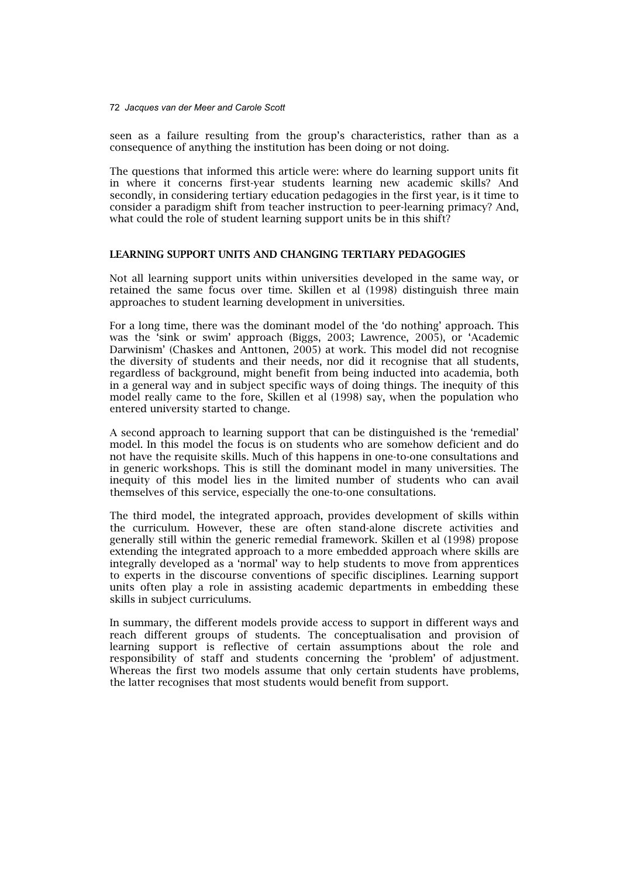72 *Jacques van der Meer and Carole Scott*

seen as a failure resulting from the group's characteristics, rather than as a consequence of anything the institution has been doing or not doing.

The questions that informed this article were: where do learning support units fit in where it concerns first-year students learning new academic skills? And secondly, in considering tertiary education pedagogies in the first year, is it time to consider a paradigm shift from teacher instruction to peer-learning primacy? And, what could the role of student learning support units be in this shift?

#### LEARNING SUPPORT UNITS AND CHANGING TERTIARY PEDAGOGIES

Not all learning support units within universities developed in the same way, or retained the same focus over time. Skillen et al (1998) distinguish three main approaches to student learning development in universities.

For a long time, there was the dominant model of the 'do nothing' approach. This was the 'sink or swim' approach (Biggs, 2003; Lawrence, 2005), or 'Academic Darwinism' (Chaskes and Anttonen, 2005) at work. This model did not recognise the diversity of students and their needs, nor did it recognise that all students, regardless of background, might benefit from being inducted into academia, both in a general way and in subject specific ways of doing things. The inequity of this model really came to the fore, Skillen et al (1998) say, when the population who entered university started to change.

A second approach to learning support that can be distinguished is the 'remedial' model. In this model the focus is on students who are somehow deficient and do not have the requisite skills. Much of this happens in one-to-one consultations and in generic workshops. This is still the dominant model in many universities. The inequity of this model lies in the limited number of students who can avail themselves of this service, especially the one-to-one consultations.

The third model, the integrated approach, provides development of skills within the curriculum. However, these are often stand-alone discrete activities and generally still within the generic remedial framework. Skillen et al (1998) propose extending the integrated approach to a more embedded approach where skills are integrally developed as a 'normal' way to help students to move from apprentices to experts in the discourse conventions of specific disciplines. Learning support units often play a role in assisting academic departments in embedding these skills in subject curriculums.

In summary, the different models provide access to support in different ways and reach different groups of students. The conceptualisation and provision of learning support is reflective of certain assumptions about the role and responsibility of staff and students concerning the 'problem' of adjustment. Whereas the first two models assume that only certain students have problems, the latter recognises that most students would benefit from support.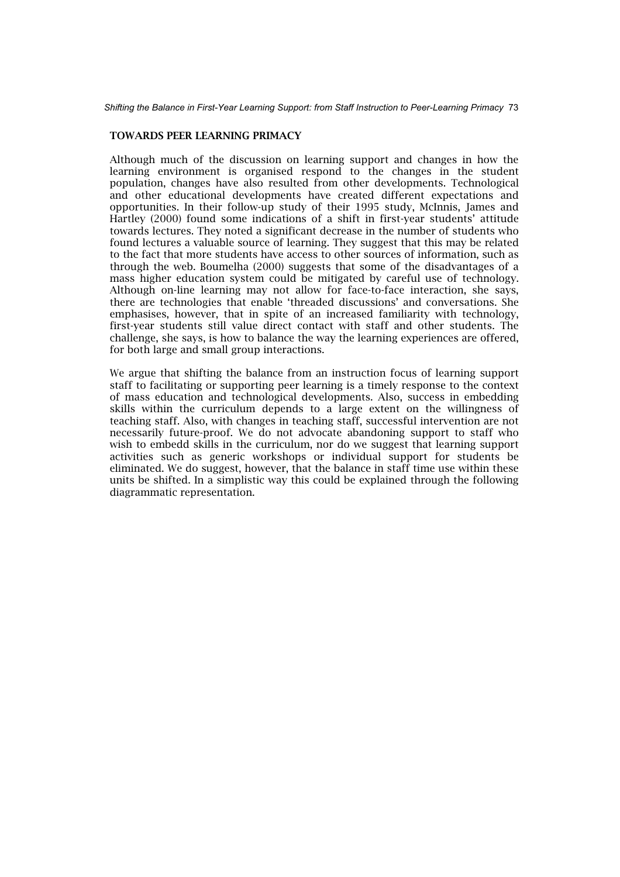#### TOWARDS PEER LEARNING PRIMACY

Although much of the discussion on learning support and changes in how the learning environment is organised respond to the changes in the student population, changes have also resulted from other developments. Technological and other educational developments have created different expectations and opportunities. In their follow-up study of their 1995 study, McInnis, James and Hartley (2000) found some indications of a shift in first-year students' attitude towards lectures. They noted a significant decrease in the number of students who found lectures a valuable source of learning. They suggest that this may be related to the fact that more students have access to other sources of information, such as through the web. Boumelha (2000) suggests that some of the disadvantages of a mass higher education system could be mitigated by careful use of technology. Although on-line learning may not allow for face-to-face interaction, she says, there are technologies that enable 'threaded discussions' and conversations. She emphasises, however, that in spite of an increased familiarity with technology, first-year students still value direct contact with staff and other students. The challenge, she says, is how to balance the way the learning experiences are offered, for both large and small group interactions.

We argue that shifting the balance from an instruction focus of learning support staff to facilitating or supporting peer learning is a timely response to the context of mass education and technological developments. Also, success in embedding skills within the curriculum depends to a large extent on the willingness of teaching staff. Also, with changes in teaching staff, successful intervention are not necessarily future-proof. We do not advocate abandoning support to staff who wish to embedd skills in the curriculum, nor do we suggest that learning support activities such as generic workshops or individual support for students be eliminated. We do suggest, however, that the balance in staff time use within these units be shifted. In a simplistic way this could be explained through the following diagrammatic representation.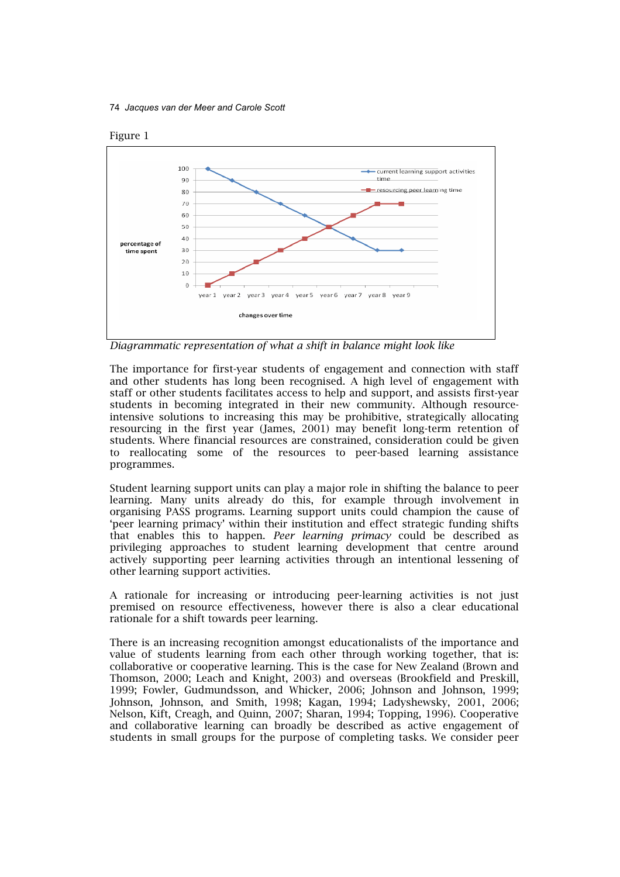74 *Jacques van der Meer and Carole Scott*



*Diagrammatic representation of what a shift in balance might look like* 

The importance for first-year students of engagement and connection with staff and other students has long been recognised. A high level of engagement with staff or other students facilitates access to help and support, and assists first-year students in becoming integrated in their new community. Although resourceintensive solutions to increasing this may be prohibitive, strategically allocating resourcing in the first year (James, 2001) may benefit long-term retention of students. Where financial resources are constrained, consideration could be given to reallocating some of the resources to peer-based learning assistance programmes.

Student learning support units can play a major role in shifting the balance to peer learning. Many units already do this, for example through involvement in organising PASS programs. Learning support units could champion the cause of 'peer learning primacy' within their institution and effect strategic funding shifts that enables this to happen. *Peer learning primacy* could be described as privileging approaches to student learning development that centre around actively supporting peer learning activities through an intentional lessening of other learning support activities.

A rationale for increasing or introducing peer-learning activities is not just premised on resource effectiveness, however there is also a clear educational rationale for a shift towards peer learning.

There is an increasing recognition amongst educationalists of the importance and value of students learning from each other through working together, that is: collaborative or cooperative learning. This is the case for New Zealand (Brown and Thomson, 2000; Leach and Knight, 2003) and overseas (Brookfield and Preskill, 1999; Fowler, Gudmundsson, and Whicker, 2006; Johnson and Johnson, 1999; Johnson, Johnson, and Smith, 1998; Kagan, 1994; Ladyshewsky, 2001, 2006; Nelson, Kift, Creagh, and Quinn, 2007; Sharan, 1994; Topping, 1996). Cooperative and collaborative learning can broadly be described as active engagement of students in small groups for the purpose of completing tasks. We consider peer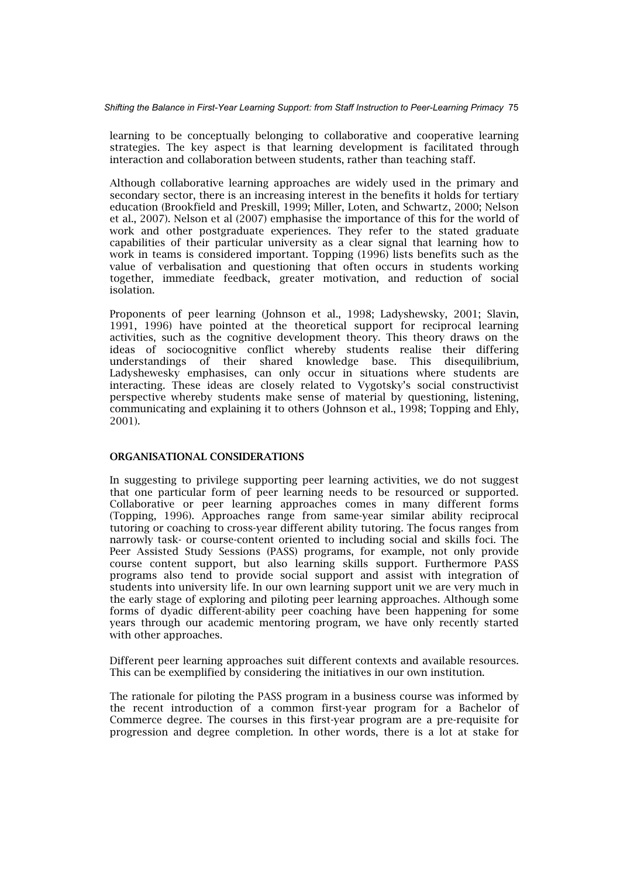learning to be conceptually belonging to collaborative and cooperative learning strategies. The key aspect is that learning development is facilitated through interaction and collaboration between students, rather than teaching staff.

Although collaborative learning approaches are widely used in the primary and secondary sector, there is an increasing interest in the benefits it holds for tertiary education (Brookfield and Preskill, 1999; Miller, Loten, and Schwartz, 2000; Nelson et al., 2007). Nelson et al (2007) emphasise the importance of this for the world of work and other postgraduate experiences. They refer to the stated graduate capabilities of their particular university as a clear signal that learning how to work in teams is considered important. Topping (1996) lists benefits such as the value of verbalisation and questioning that often occurs in students working together, immediate feedback, greater motivation, and reduction of social isolation.

Proponents of peer learning (Johnson et al., 1998; Ladyshewsky, 2001; Slavin, 1991, 1996) have pointed at the theoretical support for reciprocal learning activities, such as the cognitive development theory. This theory draws on the ideas of sociocognitive conflict whereby students realise their differing understandings of their shared knowledge base. This disequilibrium, Ladyshewesky emphasises, can only occur in situations where students are interacting. These ideas are closely related to Vygotsky's social constructivist perspective whereby students make sense of material by questioning, listening, communicating and explaining it to others (Johnson et al., 1998; Topping and Ehly, 2001).

#### ORGANISATIONAL CONSIDERATIONS

In suggesting to privilege supporting peer learning activities, we do not suggest that one particular form of peer learning needs to be resourced or supported. Collaborative or peer learning approaches comes in many different forms (Topping, 1996). Approaches range from same-year similar ability reciprocal tutoring or coaching to cross-year different ability tutoring. The focus ranges from narrowly task- or course-content oriented to including social and skills foci. The Peer Assisted Study Sessions (PASS) programs, for example, not only provide course content support, but also learning skills support. Furthermore PASS programs also tend to provide social support and assist with integration of students into university life. In our own learning support unit we are very much in the early stage of exploring and piloting peer learning approaches. Although some forms of dyadic different-ability peer coaching have been happening for some years through our academic mentoring program, we have only recently started with other approaches.

Different peer learning approaches suit different contexts and available resources. This can be exemplified by considering the initiatives in our own institution.

The rationale for piloting the PASS program in a business course was informed by the recent introduction of a common first-year program for a Bachelor of Commerce degree. The courses in this first-year program are a pre-requisite for progression and degree completion. In other words, there is a lot at stake for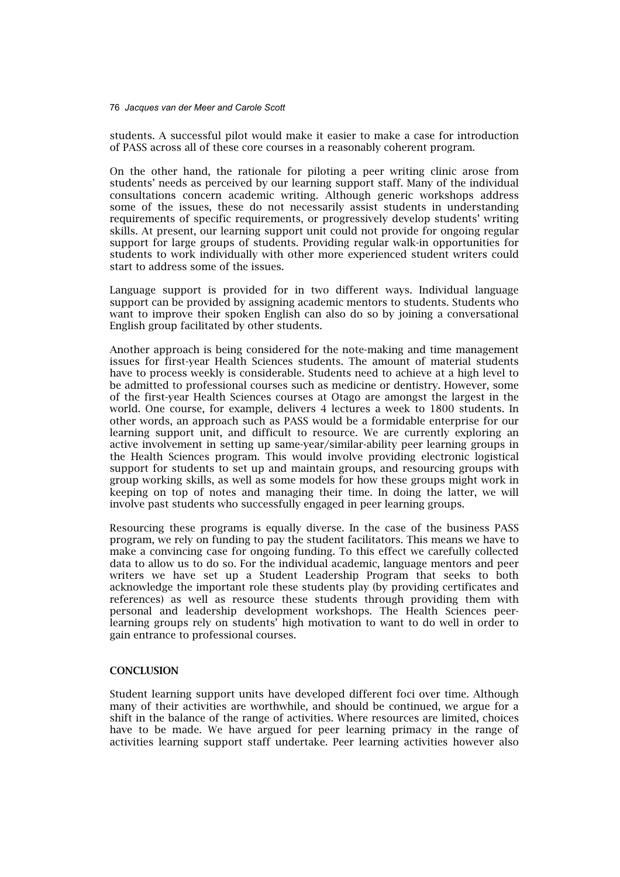#### 76 *Jacques van der Meer and Carole Scott*

students. A successful pilot would make it easier to make a case for introduction of PASS across all of these core courses in a reasonably coherent program.

On the other hand, the rationale for piloting a peer writing clinic arose from students' needs as perceived by our learning support staff. Many of the individual consultations concern academic writing. Although generic workshops address some of the issues, these do not necessarily assist students in understanding requirements of specific requirements, or progressively develop students' writing skills. At present, our learning support unit could not provide for ongoing regular support for large groups of students. Providing regular walk-in opportunities for students to work individually with other more experienced student writers could start to address some of the issues.

Language support is provided for in two different ways. Individual language support can be provided by assigning academic mentors to students. Students who want to improve their spoken English can also do so by joining a conversational English group facilitated by other students.

Another approach is being considered for the note-making and time management issues for first-year Health Sciences students. The amount of material students have to process weekly is considerable. Students need to achieve at a high level to be admitted to professional courses such as medicine or dentistry. However, some of the first-year Health Sciences courses at Otago are amongst the largest in the world. One course, for example, delivers 4 lectures a week to 1800 students. In other words, an approach such as PASS would be a formidable enterprise for our learning support unit, and difficult to resource. We are currently exploring an active involvement in setting up same-year/similar-ability peer learning groups in the Health Sciences program. This would involve providing electronic logistical support for students to set up and maintain groups, and resourcing groups with group working skills, as well as some models for how these groups might work in keeping on top of notes and managing their time. In doing the latter, we will involve past students who successfully engaged in peer learning groups.

Resourcing these programs is equally diverse. In the case of the business PASS program, we rely on funding to pay the student facilitators. This means we have to make a convincing case for ongoing funding. To this effect we carefully collected data to allow us to do so. For the individual academic, language mentors and peer writers we have set up a Student Leadership Program that seeks to both acknowledge the important role these students play (by providing certificates and references) as well as resource these students through providing them with personal and leadership development workshops. The Health Sciences peerlearning groups rely on students' high motivation to want to do well in order to gain entrance to professional courses.

#### **CONCLUSION**

Student learning support units have developed different foci over time. Although many of their activities are worthwhile, and should be continued, we argue for a shift in the balance of the range of activities. Where resources are limited, choices have to be made. We have argued for peer learning primacy in the range of activities learning support staff undertake. Peer learning activities however also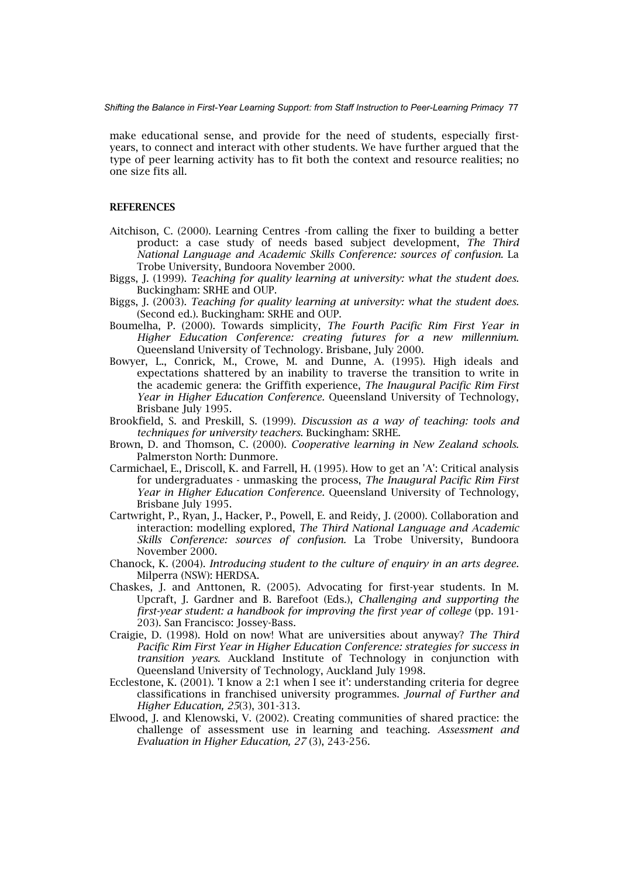make educational sense, and provide for the need of students, especially firstyears, to connect and interact with other students. We have further argued that the type of peer learning activity has to fit both the context and resource realities; no one size fits all.

#### REFERENCES

- Aitchison, C. (2000). Learning Centres -from calling the fixer to building a better product: a case study of needs based subject development, *The Third National Language and Academic Skills Conference: sources of confusion.* La Trobe University, Bundoora November 2000.
- Biggs, J. (1999). *Teaching for quality learning at university: what the student does*. Buckingham: SRHE and OUP.
- Biggs, J. (2003). *Teaching for quality learning at university: what the student does.*  (Second ed.). Buckingham: SRHE and OUP.
- Boumelha, P. (2000). Towards simplicity, *The Fourth Pacific Rim First Year in Higher Education Conference: creating futures for a new millennium*. Queensland University of Technology. Brisbane, July 2000.
- Bowyer, L., Conrick, M., Crowe, M. and Dunne, A. (1995). High ideals and expectations shattered by an inability to traverse the transition to write in the academic genera: the Griffith experience, *The Inaugural Pacific Rim First Year in Higher Education Conference.* Queensland University of Technology, Brisbane July 1995.
- Brookfield, S. and Preskill, S. (1999). *Discussion as a way of teaching: tools and techniques for university teachers*. Buckingham: SRHE.
- Brown, D. and Thomson, C. (2000). *Cooperative learning in New Zealand schools*. Palmerston North: Dunmore.
- Carmichael, E., Driscoll, K. and Farrell, H. (1995). How to get an 'A': Critical analysis for undergraduates - unmasking the process, *The Inaugural Pacific Rim First Year in Higher Education Conference.* Queensland University of Technology, Brisbane July 1995.
- Cartwright, P., Ryan, J., Hacker, P., Powell, E. and Reidy, J. (2000). Collaboration and interaction: modelling explored, *The Third National Language and Academic Skills Conference: sources of confusion.* La Trobe University, Bundoora November 2000.
- Chanock, K. (2004). *Introducing student to the culture of enquiry in an arts degree*. Milperra (NSW): HERDSA.
- Chaskes, J. and Anttonen, R. (2005). Advocating for first-year students. In M. Upcraft, J. Gardner and B. Barefoot (Eds.), *Challenging and supporting the first-year student: a handbook for improving the first year of college* (pp. 191- 203). San Francisco: Jossey-Bass.
- Craigie, D. (1998). Hold on now! What are universities about anyway? *The Third Pacific Rim First Year in Higher Education Conference: strategies for success in transition years*. Auckland Institute of Technology in conjunction with Queensland University of Technology, Auckland July 1998.
- Ecclestone, K. (2001). 'I know a 2:1 when I see it': understanding criteria for degree classifications in franchised university programmes. *Journal of Further and Higher Education, 25*(3), 301-313.
- Elwood, J. and Klenowski, V. (2002). Creating communities of shared practice: the challenge of assessment use in learning and teaching. *Assessment and Evaluation in Higher Education, 27* (3), 243-256.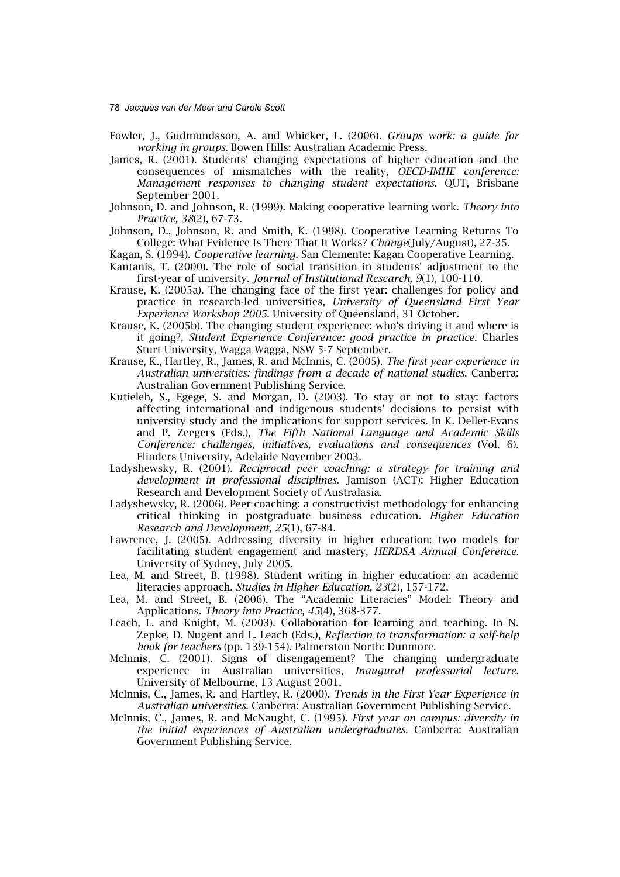78 *Jacques van der Meer and Carole Scott*

- Fowler, J., Gudmundsson, A. and Whicker, L. (2006). *Groups work: a guide for working in groups*. Bowen Hills: Australian Academic Press.
- James, R. (2001). Students' changing expectations of higher education and the consequences of mismatches with the reality, *OECD-IMHE conference: Management responses to changing student expectations*. QUT, Brisbane September 2001.
- Johnson, D. and Johnson, R. (1999). Making cooperative learning work. *Theory into Practice, 38*(2), 67-73.
- Johnson, D., Johnson, R. and Smith, K. (1998). Cooperative Learning Returns To College: What Evidence Is There That It Works? *Change*(July/August), 27-35.
- Kagan, S. (1994). *Cooperative learning*. San Clemente: Kagan Cooperative Learning.
- Kantanis, T. (2000). The role of social transition in students' adjustment to the first-year of university. *Journal of Institutional Research, 9*(1), 100-110.
- Krause, K. (2005a). The changing face of the first year: challenges for policy and practice in research-led universities, *University of Queensland First Year Experience Workshop 2005*. University of Queensland, 31 October.
- Krause, K. (2005b). The changing student experience: who's driving it and where is it going?, *Student Experience Conference: good practice in practice*. Charles Sturt University, Wagga Wagga, NSW 5-7 September.
- Krause, K., Hartley, R., James, R. and McInnis, C. (2005). *The first year experience in Australian universities: findings from a decade of national studies*. Canberra: Australian Government Publishing Service.
- Kutieleh, S., Egege, S. and Morgan, D. (2003). To stay or not to stay: factors affecting international and indigenous students' decisions to persist with university study and the implications for support services. In K. Deller-Evans and P. Zeegers (Eds.), *The Fifth National Language and Academic Skills Conference: challenges, initiatives, evaluations and consequences* (Vol. 6). Flinders University, Adelaide November 2003.
- Ladyshewsky, R. (2001). *Reciprocal peer coaching: a strategy for training and development in professional disciplines*. Jamison (ACT): Higher Education Research and Development Society of Australasia.
- Ladyshewsky, R. (2006). Peer coaching: a constructivist methodology for enhancing critical thinking in postgraduate business education. *Higher Education Research and Development, 25*(1), 67-84.
- Lawrence, J. (2005). Addressing diversity in higher education: two models for facilitating student engagement and mastery, *HERDSA Annual Conference*. University of Sydney, July 2005.
- Lea, M. and Street, B. (1998). Student writing in higher education: an academic literacies approach. *Studies in Higher Education, 23*(2), 157-172.
- Lea, M. and Street, B. (2006). The "Academic Literacies" Model: Theory and Applications. *Theory into Practice, 45*(4), 368-377.
- Leach, L. and Knight, M. (2003). Collaboration for learning and teaching. In N. Zepke, D. Nugent and L. Leach (Eds.), *Reflection to transformation: a self-help book for teachers* (pp. 139-154). Palmerston North: Dunmore.
- McInnis, C. (2001). Signs of disengagement? The changing undergraduate experience in Australian universities, *Inaugural professorial lecture.*  University of Melbourne, 13 August 2001.
- McInnis, C., James, R. and Hartley, R. (2000). *Trends in the First Year Experience in Australian universities*. Canberra: Australian Government Publishing Service.
- McInnis, C., James, R. and McNaught, C. (1995). *First year on campus: diversity in the initial experiences of Australian undergraduates.* Canberra: Australian Government Publishing Service.